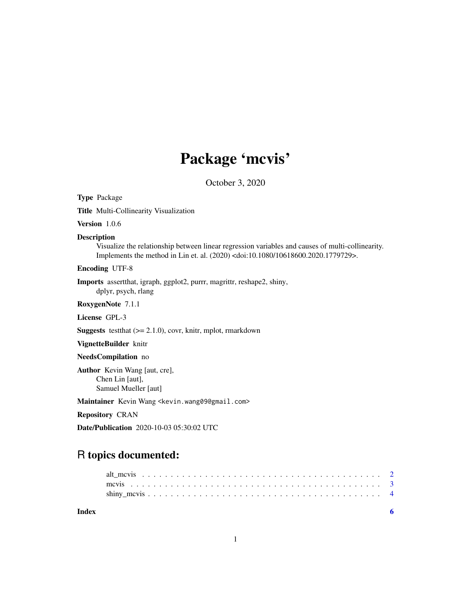## Package 'mcvis'

October 3, 2020

Type Package

Title Multi-Collinearity Visualization

Version 1.0.6

#### Description

Visualize the relationship between linear regression variables and causes of multi-collinearity. Implements the method in Lin et. al. (2020) <doi:10.1080/10618600.2020.1779729>.

Encoding UTF-8

Imports assertthat, igraph, ggplot2, purrr, magrittr, reshape2, shiny, dplyr, psych, rlang

RoxygenNote 7.1.1

License GPL-3

**Suggests** test that  $(>= 2.1.0)$ , covr, knitr, mplot, rmarkdown

VignetteBuilder knitr

#### NeedsCompilation no

Author Kevin Wang [aut, cre], Chen Lin [aut], Samuel Mueller [aut]

Maintainer Kevin Wang <kevin.wang09@gmail.com>

Repository CRAN

Date/Publication 2020-10-03 05:30:02 UTC

## R topics documented:

| Index |  |
|-------|--|
|       |  |
|       |  |
|       |  |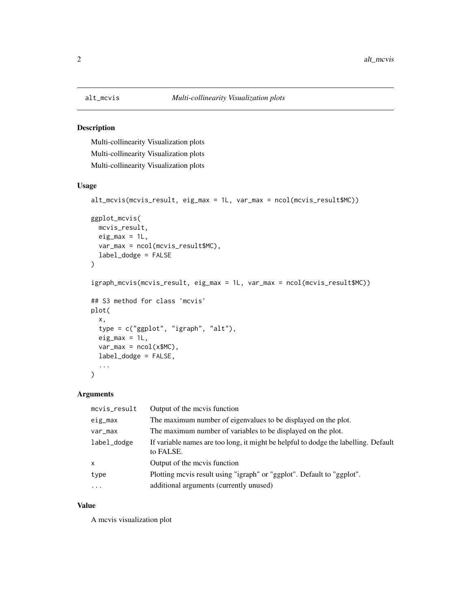<span id="page-1-0"></span>

## Description

Multi-collinearity Visualization plots Multi-collinearity Visualization plots Multi-collinearity Visualization plots

## Usage

```
alt_mcvis(mcvis_result, eig_max = 1L, var_max = ncol(mcvis_result$MC))
```

```
ggplot_mcvis(
 mcvis_result,
 eig_max = 1L,
 var_max = ncol(mcvis_result$MC),
  label_dodge = FALSE
)
igraph_mcvis(mcvis_result, eig_max = 1L, var_max = ncol(mcvis_result$MC))
## S3 method for class 'mcvis'
plot(
  x,
  type = c("ggplot", "igraph", "alt"),
  eig_max = 1L,
  var_max = ncol(x$MC),
  label_dodge = FALSE,
  ...
\mathcal{L}
```
## Arguments

| mcvis_result | Output of the mevis function                                                                     |
|--------------|--------------------------------------------------------------------------------------------------|
| eig_max      | The maximum number of eigenvalues to be displayed on the plot.                                   |
| var_max      | The maximum number of variables to be displayed on the plot.                                     |
| label_dodge  | If variable names are too long, it might be helpful to dodge the labelling. Default<br>to FALSE. |
| $\mathsf{x}$ | Output of the mevis function                                                                     |
| type         | Plotting mevis result using "igraph" or "ggplot". Default to "ggplot".                           |
| $\ddots$     | additional arguments (currently unused)                                                          |

#### Value

A mcvis visualization plot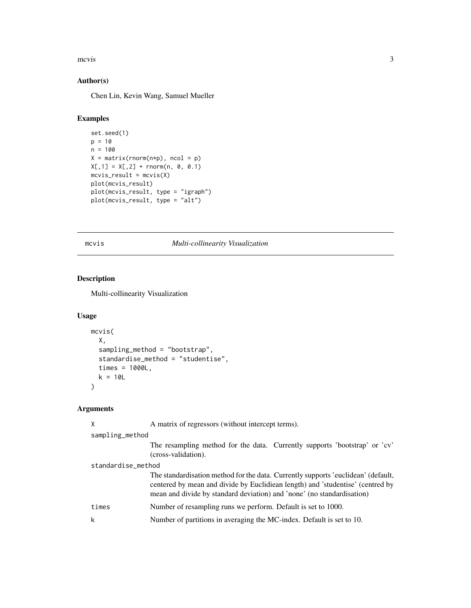#### <span id="page-2-0"></span> $m$ cvis  $\frac{3}{2}$

#### Author(s)

Chen Lin, Kevin Wang, Samuel Mueller

## Examples

```
set.seed(1)
p = 10n = 100
X = matrix(rnorm(n*p), ncol = p)X[,1] = X[,2] + rnorm(n, 0, 0.1)mcvis\_result = mcvis(X)plot(mcvis_result)
plot(mcvis_result, type = "igraph")
plot(mcvis_result, type = "alt")
```
mcvis *Multi-collinearity Visualization*

## Description

Multi-collinearity Visualization

#### Usage

```
mcvis(
  X,
  sampling_method = "bootstrap",
  standardise_method = "studentise",
  times = 1000L,
  k = 10L)
```
#### Arguments

```
X A matrix of regressors (without intercept terms).
sampling_method
                 The resampling method for the data. Currently supports 'bootstrap' or 'cv'
                 (cross-validation).
standardise_method
                 The standardisation method for the data. Currently supports 'euclidean' (default,
                 centered by mean and divide by Euclidiean length) and 'studentise' (centred by
                 mean and divide by standard deviation) and 'none' (no standardisation)
times Number of resampling runs we perform. Default is set to 1000.
k Number of partitions in averaging the MC-index. Default is set to 10.
```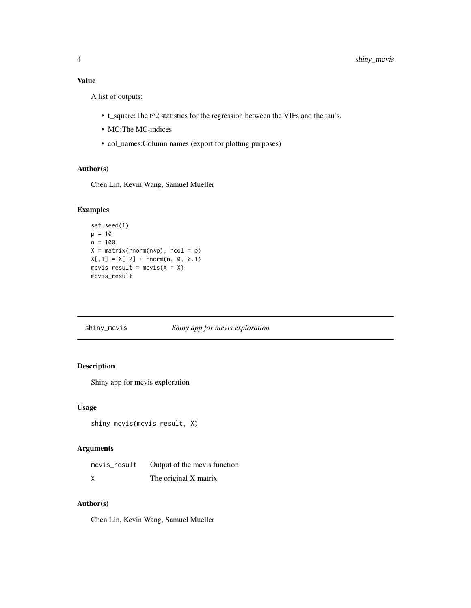## <span id="page-3-0"></span>Value

A list of outputs:

- t\_square:The t^2 statistics for the regression between the VIFs and the tau's.
- MC:The MC-indices
- col\_names:Column names (export for plotting purposes)

#### Author(s)

Chen Lin, Kevin Wang, Samuel Mueller

## Examples

```
set.seed(1)
p = 10n = 100
X = matrix(rnorm(n*p), ncol = p)X[,1] = X[,2] + rnorm(n, 0, 0.1)mcvis\_result = mcvis(X = X)mcvis_result
```
## shiny\_mcvis *Shiny app for mcvis exploration*

## Description

Shiny app for mcvis exploration

#### Usage

```
shiny_mcvis(mcvis_result, X)
```
#### Arguments

| mevis_result Output of the mevis function |
|-------------------------------------------|
| The original X matrix                     |

## Author(s)

Chen Lin, Kevin Wang, Samuel Mueller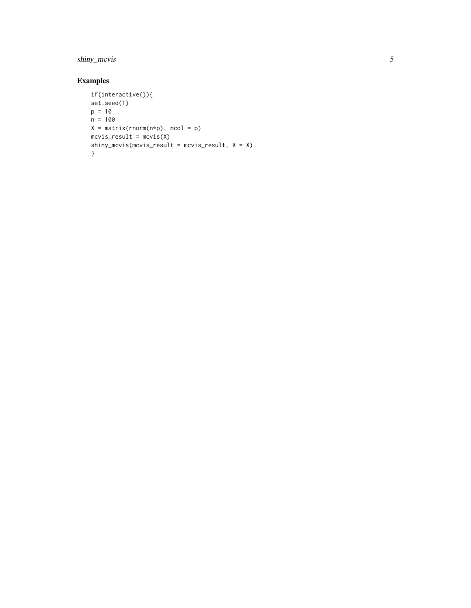## shiny\_mcvis

## Examples

```
if(interactive()){
set.seed(1)
p = 10n = 100
X = matrix(rnorm(n*p), ncol = p)mcvis_result = mcvis(X)
shiny_mcvis(mcvis_result = mcvis_result, X = X) }
```